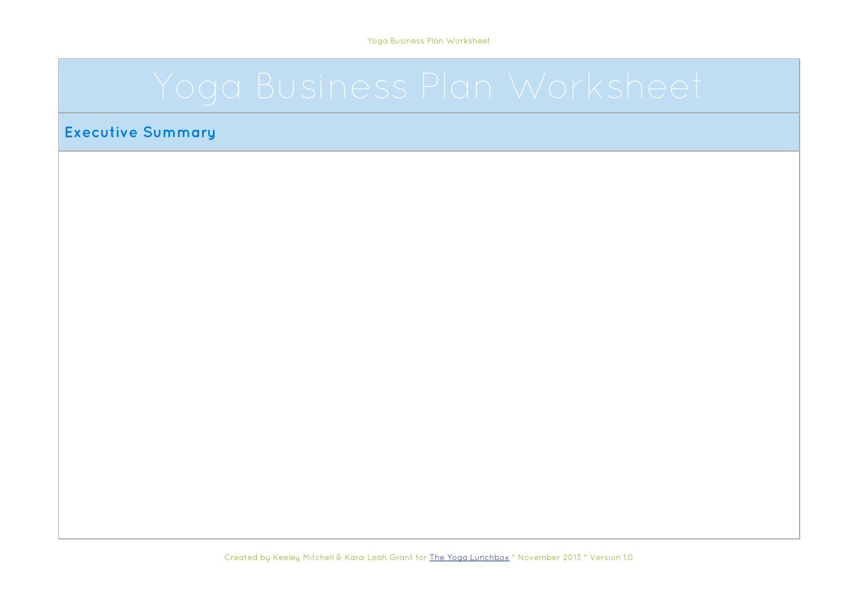#### **Executive Summary**

Created by Keeley Mitchell & Kara-Leah Grant for [The Yoga Lunchbox](http://theyogalunchbox.co.nz/) \* November 2013 \* Version 1.0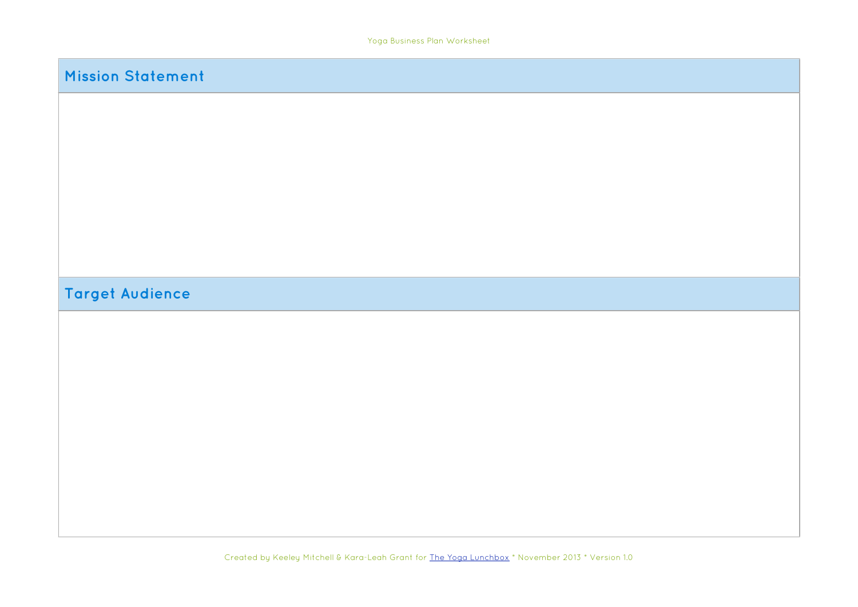| <b>Mission Statement</b> |  |
|--------------------------|--|
|                          |  |
|                          |  |
|                          |  |
|                          |  |
|                          |  |
|                          |  |
| <b>Target Audience</b>   |  |
|                          |  |
|                          |  |
|                          |  |
|                          |  |
|                          |  |
|                          |  |
|                          |  |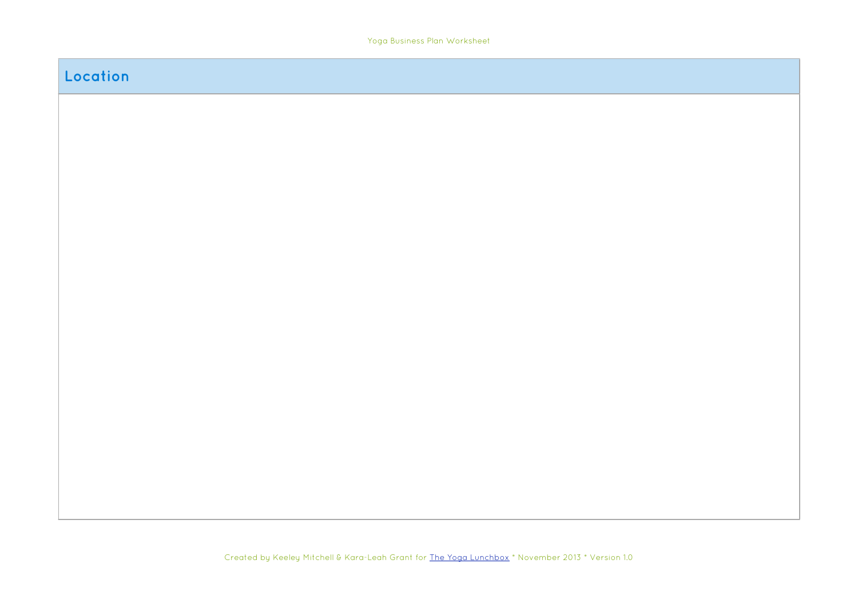#### **Location**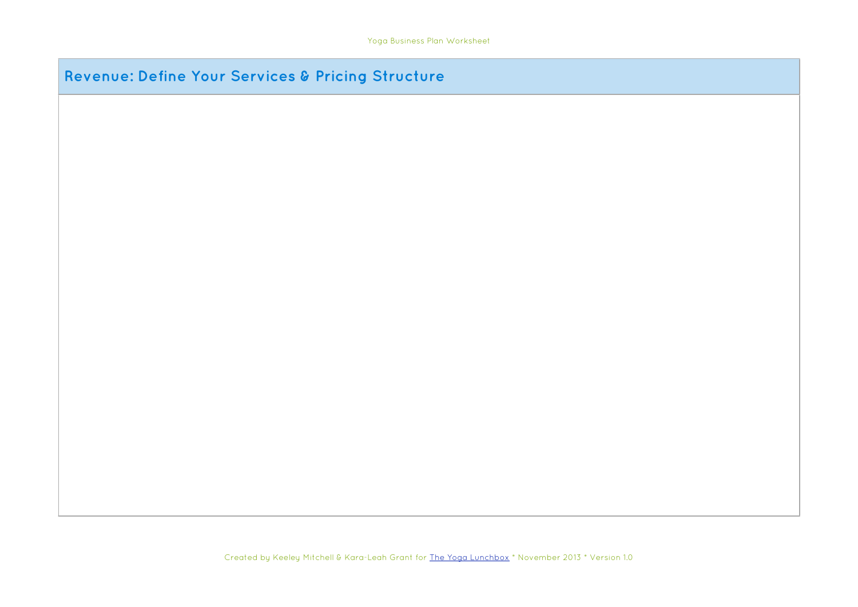# **Revenue: Define Your Services & Pricing Structure**

Created by Keeley Mitchell & Kara-Leah Grant for [The Yoga Lunchbox](http://theyogalunchbox.co.nz/) \* November 2013 \* Version 1.0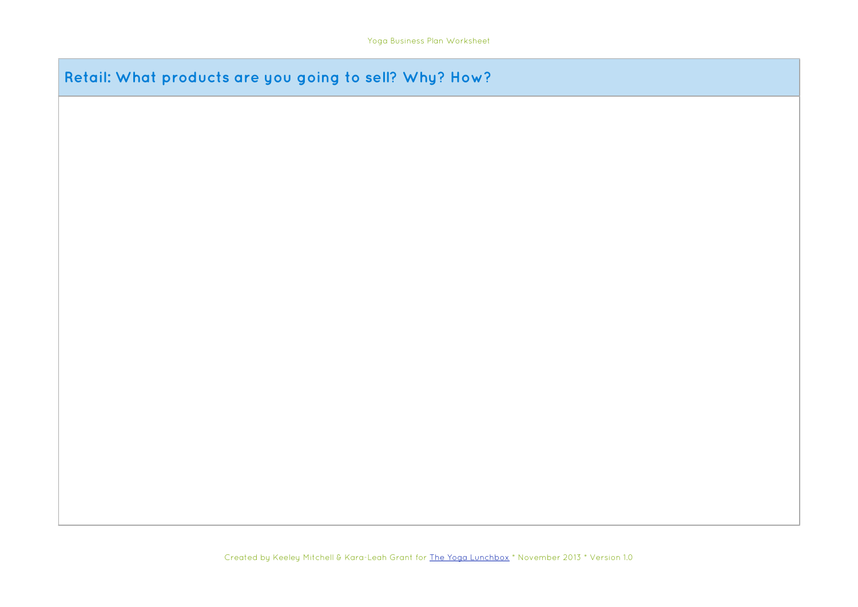# **Retail: What products are you going to sell? Why? How?**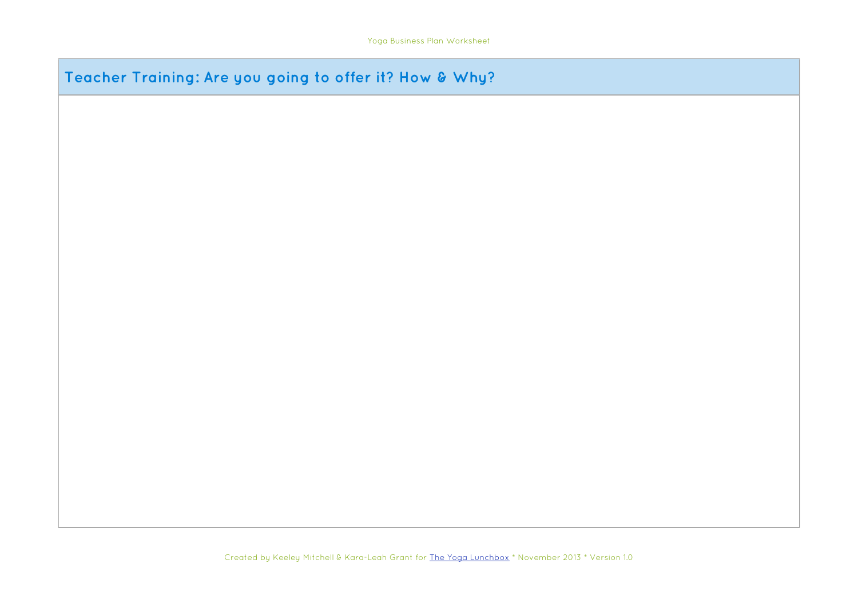# **Teacher Training: Are you going to offer it? How & Why?**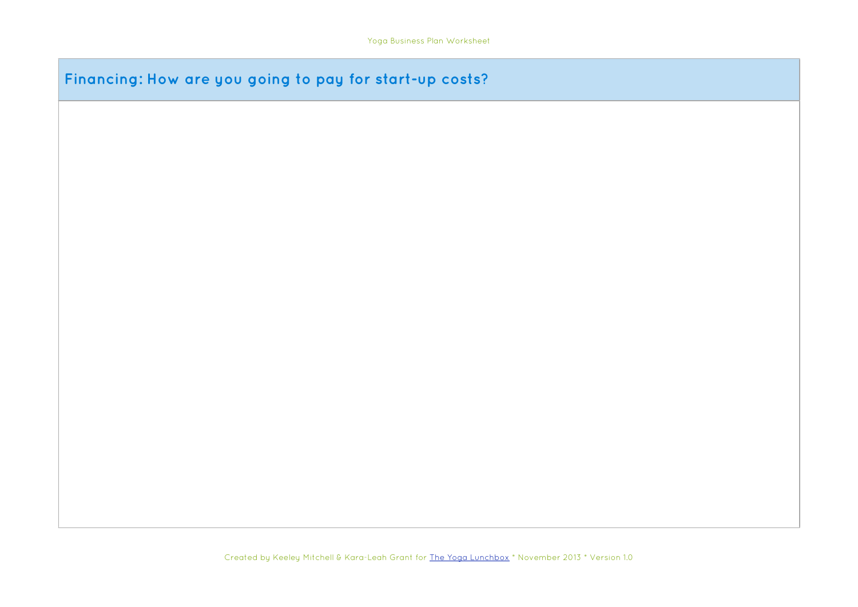| Financing: How are you going to pay for start-up costs? |  |  |  |  |
|---------------------------------------------------------|--|--|--|--|
|---------------------------------------------------------|--|--|--|--|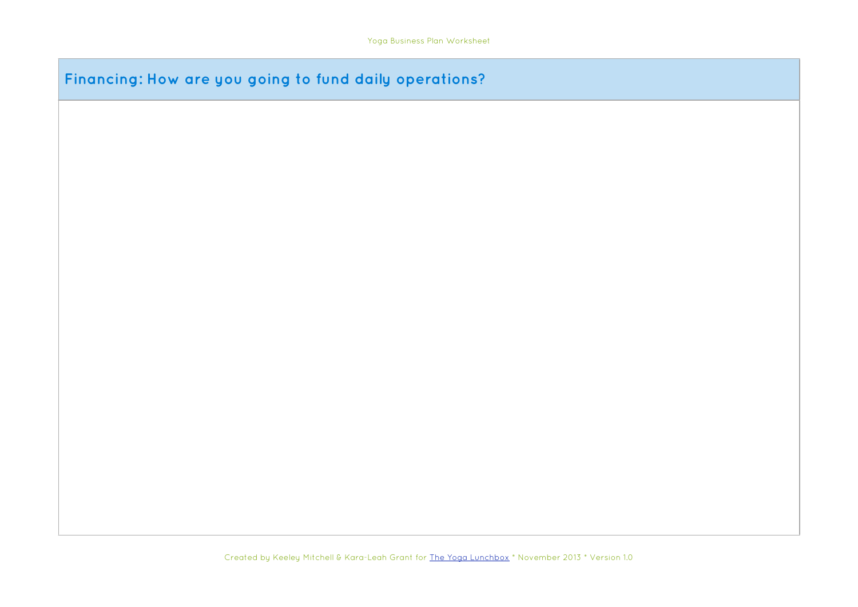### **Financing: How are you going to fund daily operations?**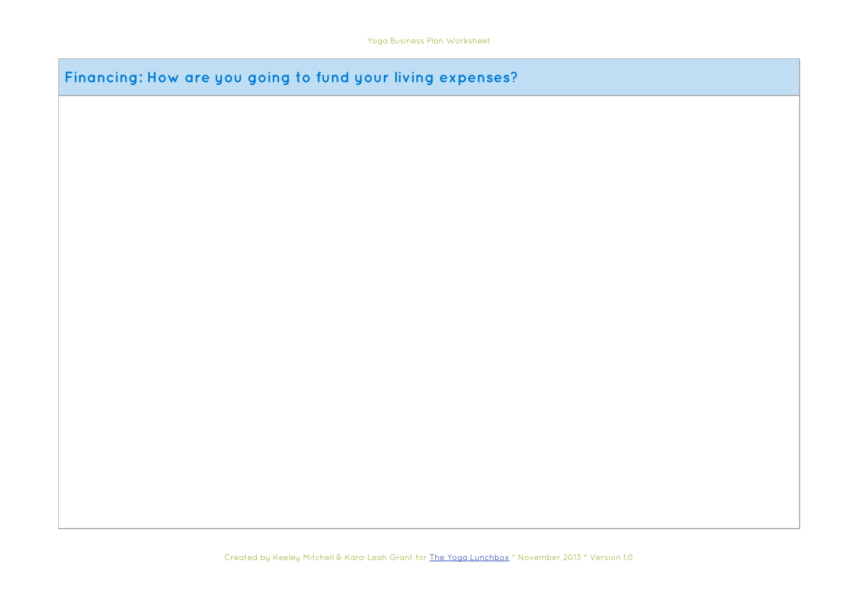**Financing: How are you going to fund your living expenses?**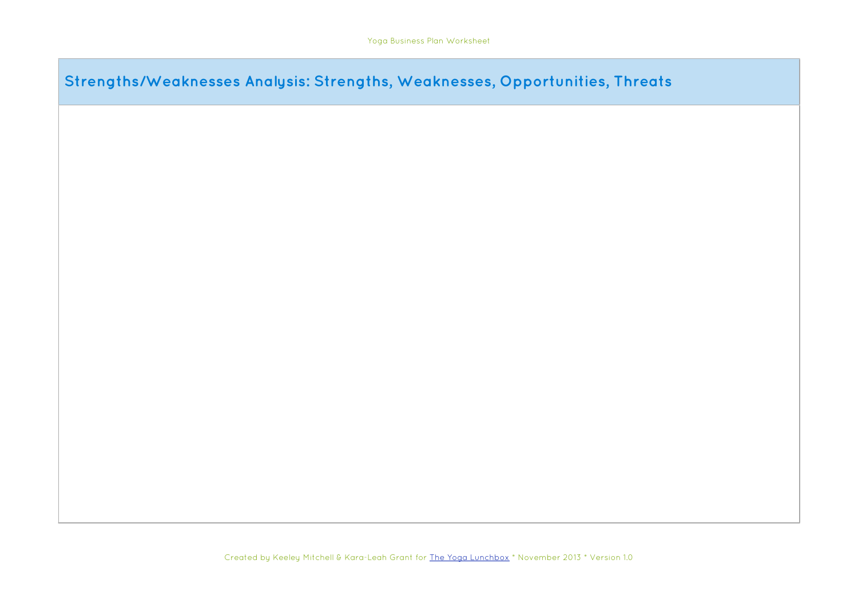| Strengths/Weaknesses Analysis: Strengths, Weaknesses, Opportunities, Threats |  |  |  |
|------------------------------------------------------------------------------|--|--|--|
|                                                                              |  |  |  |
|                                                                              |  |  |  |
|                                                                              |  |  |  |
|                                                                              |  |  |  |
|                                                                              |  |  |  |
|                                                                              |  |  |  |
|                                                                              |  |  |  |
|                                                                              |  |  |  |
|                                                                              |  |  |  |
|                                                                              |  |  |  |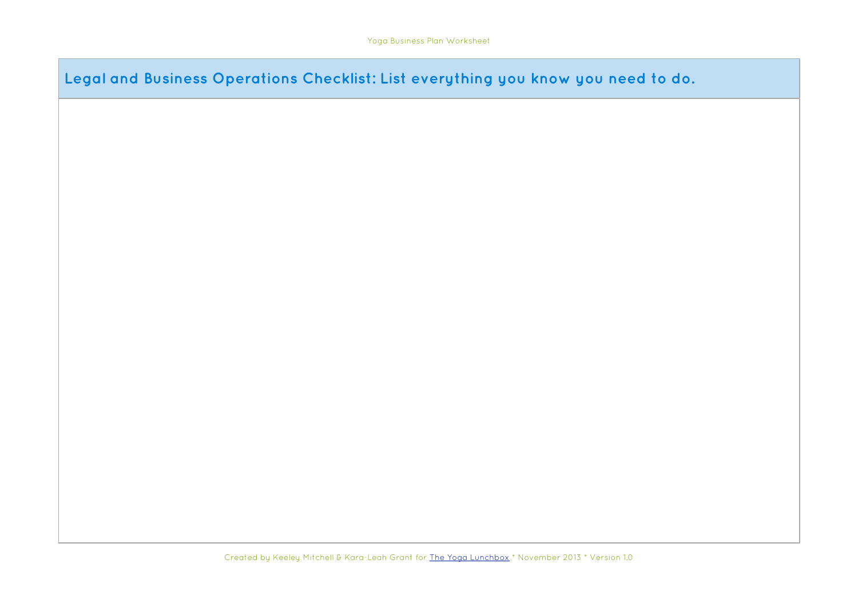**Legal and Business Operations Checklist: List everything you know you need to do.**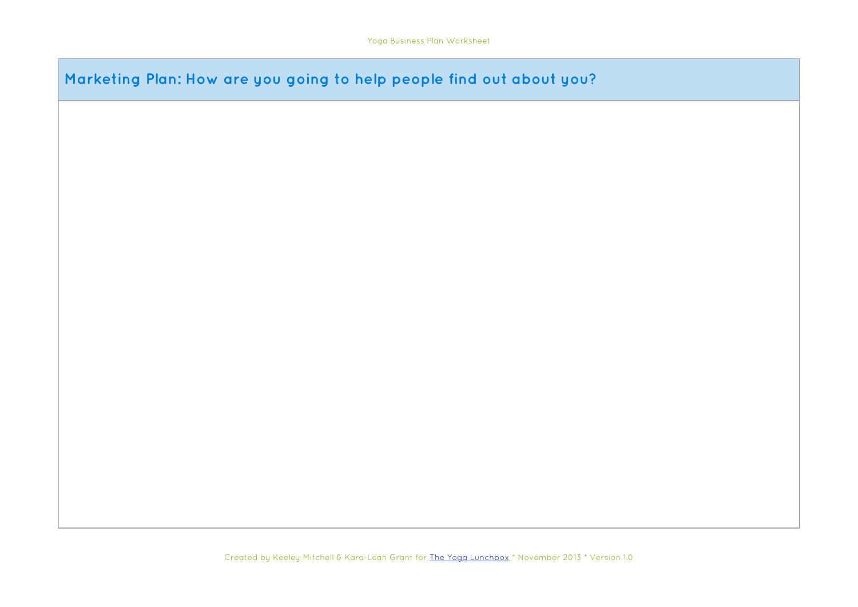**Marketing Plan: How are you going to help people find out about you?**